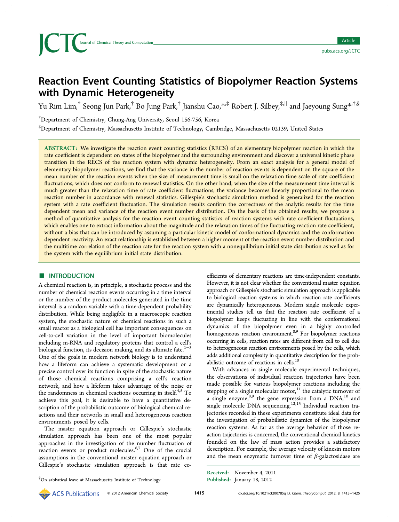# Reaction Event Counting Statistics of Biopolymer Reaction Systems with Dynamic Heterogeneity

Yu Rim Lim,† Seong Jun Park,† Bo Jung Park,† Jianshu Cao,\*,‡ Robert J. Silbey,‡,<sup>∥</sup> and Jaeyoung Sung\*,†,§

† Department of Chemistry, Chung-Ang University, Seoul 156-756, Korea

‡ Department of Chemistry, Massachusetts Institute of Technology, Cambridge, Massachusetts 02139, United States

ABSTRACT: We investigate the reaction event counting statistics (RECS) of an elementary biopolymer reaction in which the rate coefficient is dependent on states of the biopolymer and the surrounding environment and discover a universal kinetic phase transition in the RECS of the reaction system with dynamic heterogeneity. From an exact analysis for a general model of elementary biopolymer reactions, we find that the variance in the number of reaction events is dependent on the square of the mean number of the reaction events when the size of measurement time is small on the relaxation time scale of rate coefficient fluctuations, which does not conform to renewal statistics. On the other hand, when the size of the measurement time interval is much greater than the relaxation time of rate coefficient fluctuations, the variance becomes linearly proportional to the mean reaction number in accordance with renewal statistics. Gillespie's stochastic simulation method is generalized for the reaction system with a rate coefficient fluctuation. The simulation results confirm the correctness of the analytic results for the time dependent mean and variance of the reaction event number distribution. On the basis of the obtained results, we propose a method of quantitative analysis for the reaction event counting statistics of reaction systems with rate coefficient fluctuations, which enables one to extract information about the magnitude and the relaxation times of the fluctuating reaction rate coefficient, without a bias that can be introduced by assuming a particular kinetic model of conformational dynamics and the conformation dependent reactivity. An exact relationship is established between a higher moment of the reaction event number distribution and the multitime correlation of the reaction rate for the reaction system with a nonequilibrium initial state distribution as well as for the system with the equilibrium initial state distribution.

## ■ INTRODUCTION

A chemical reaction is, in principle, a stochastic process and the number of chemical reaction events occurring in a time interval or the number of the product molecules generated in the time interval is a random variable with a time-dependent probability distribution. While being negligible in a macroscopic reaction system, the stochastic nature of chemical reactions in such a small reactor as a biological cell has important consequences on cell-to-cell variation in the level of important biomolecules including m-RNA and regulatory proteins that control a cell's biological function, its decision making, and its ultimate fate. $1-3$ One of the goals in modern network biology is to understand how a lifeform can achieve a systematic development [or a](#page-9-0) precise control over its function in spite of the stochastic nature of those chemical reactions comprising a cell's reaction network, and how a lifeform takes advantage of the noise or the randomness in chemical reactions occurring in itself.<sup>4,5</sup> To achieve this goal, it is desirable to have a quantitative description of the probabilistic outcome of biological chem[ical](#page-9-0) reactions and their networks in small and heterogeneous reaction environments posed by cells.

The master equation approach or Gillespie's stochastic simulation approach has been one of the most popular approaches in the investigation of the number fluctuation of reaction events or product molecules.<sup>6,7</sup> One of the crucial assumptions in the conventional master equation approach or Gillespie's stochastic simulation appr[oac](#page-10-0)h is that rate coefficients of elementary reactions are time-independent constants. However, it is not clear whether the conventional master equation approach or Gillespie's stochastic simulation approach is applicable to biological reaction systems in which reaction rate coefficients are dynamically heterogeneous. Modern single molecule experimental studies tell us that the reaction rate coefficient of a biopolymer keeps fluctuating in line with the conformational dynamics of the biopolymer even in a highly controlled homogeneous reaction environment.<sup>8,9</sup> For biopolymer reactions occurring in cells, reaction rates are different from cell to cell due to heterogeneous reaction environm[ent](#page-10-0)s posed by the cells, which adds additional complexity in quantitative description for the probabilistic outcome of reactions in cells.10

With advances in single molecule experimental techniques, the observations of individual reac[tio](#page-10-0)n trajectories have been made possible for various biopolymer reactions including the stepping of a single molecular motor, $11$  the catalytic turnover of a single enzyme,  $8.9$  the gene expression from a DNA,<sup>10</sup> and single molecule DNA sequencing.<sup>12,[13](#page-10-0)</sup> Individual reaction trajectories recorde[d in](#page-10-0) these experiments constitute ideal [dat](#page-10-0)a for the investigation of probabilistic [dyna](#page-10-0)mics of the biopolymer reaction systems. As far as the average behavior of those reaction trajectories is concerned, the conventional chemical kinetics founded on the law of mass action provides a satisfactory description. For example, the average velocity of kinesin motors and the mean enzymatic turnover time of  $\beta$ -galactosidase are

Published: January 18, 2012 § On sabbatical leave at Massachusetts Institute of Technology.

Received: November 4, 2011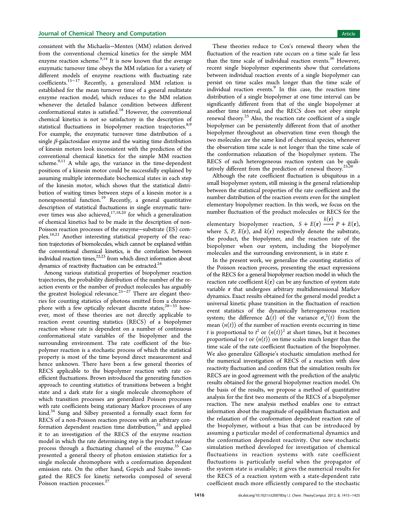consistent with the Michaelis−Menten (MM) relation derived from the conventional chemical kinetics for the simple MM enzyme reaction scheme.<sup>9,14</sup> It is now known that the average enzymatic turnover time obeys the MM relation for a variety of different models of en[zyme](#page-10-0) reactions with fluctuating rate coefficients.15−<sup>17</sup> Recently, a generalized MM relation is established for the mean turnover time of a general multistate enzyme rea[ction](#page-10-0) model, which reduces to the MM relation whenever the detailed balance condition between different conformational states is satisfied.<sup>18</sup> However, the conventional chemical kinetics is not so satisfactory in the description of statistical fluctuations in biopo[lym](#page-10-0)er reaction trajectories.<sup>8,9</sup> For example, the enzymatic turnover time distribution of a single  $\beta$ -galactosidase enzyme and the waiting time distributi[on](#page-10-0) of kinesin motors look inconsistent with the prediction of the conventional chemical kinetics for the simple MM reaction scheme. $9,11$  A while ago, the variance in the time-dependent positions of a kinesin motor could be successfully explained by assumin[g m](#page-10-0)ultiple intermediate biochemical states in each step of the kinesin motor, which shows that the statistical distribution of waiting times between steps of a kinesin motor is a nonexponential function.<sup>19</sup> Recently, a general quantitative description of statistical fluctuations in single enzymatic turno[ve](#page-10-0)r times was also achieved, $17,18,20$  for which a generalization of chemical kinetics had to be made in the description of non-Poisson reaction processes of [the enz](#page-10-0)yme−substrate (ES) complex.16,21 Another interesting statistical property of the reaction trajectories of biomolecules, which cannot be explained within the [conv](#page-10-0)entional chemical kinetics, is the correlation between individual reaction times, $22,23$  from which direct information about dynamics of reactivity fluctuation can be extracted.<sup>24</sup>

Among various statis[tical](#page-10-0) properties of biopolymer reaction trajectories, the probability distribution of the nu[mb](#page-10-0)er of the reaction events or the number of product molecules has arguably the greatest biological relevance.25−<sup>27</sup> There are elegant theories for counting statistics of photons emitted from a chromophore with a few optically relev[an](#page-10-0)t [d](#page-10-0)iscrete states;<sup>28−33</sup> however, most of these theories are not directly applicable to reaction event counting statistics (RECS) of a [biopo](#page-10-0)lymer reaction whose rate is dependent on a number of continuous conformational state variables of the biopolymer and the surrounding environment. The rate coefficient of the biopolymer reaction is a stochastic process of which the statistical property is most of the time beyond direct measurement and hence unknown. There have been a few general theories of RECS applicable to the biopolymer reaction with rate coefficient fluctuations. Brown introduced the generating function approach to counting statistics of transitions between a bright state and a dark state for a single molecule chromophore of which transition processes are generalized Poisson processes with rate coefficients being stationary Markov processes of any kind.<sup>34</sup> Sung and Silbey presented a formally exact form for RECS of a non-Poisson reaction process with an arbitrary conform[ati](#page-10-0)on dependent reaction time distribution,<sup>25</sup> and applied it to an investigation of the RECS of the enzyme reaction model in which the rate determining step is the [pro](#page-10-0)duct release process through a fluctuating channel of the enzyme.<sup>35</sup> Cao presented a general theory of photon emission statistics for a single molecule chromophore with a conformation de[pen](#page-10-0)dent emission rate. On the other hand, Gopich and Szabo investigated the RECS for kinetic networks composed of several Poisson reaction processes.<sup>27</sup>

These theories reduce to Cox's renewal theory when the fluctuation of the reaction rate occurs on a time scale far less than the time scale of individual reaction events.<sup>36</sup> However, recent single biopolymer experiments show that correlations between individual reaction events of a single bio[po](#page-10-0)lymer can persist on time scales much longer than the time scale of individual reaction events. $9$  In this case, the reaction time distribution of a single biopolymer at one time interval can be significantly different fro[m](#page-10-0) that of the single biopolymer at another time interval, and the RECS does not obey simple renewal theory.<sup>25</sup> Also, the reaction rate coefficient of a single biopolymer can be persistently different from that of another biopolymer thr[ou](#page-10-0)ghout an observation time even though the two molecules are the same kind of chemical species, whenever the observation time scale is not longer than the time scale of the conformation relaxation of the biopolymer system. The RECS of such heterogeneous reaction system can be qualitatively different from the prediction of renewal theory.<sup>25,26</sup>

Although the rate coefficient fluctuation is ubiquitous in a small biopolymer system, still missing is the general relat[ionsh](#page-10-0)ip between the statistical properties of the rate coefficient and the number distribution of the reaction events even for the simplest elementary biopolymer reaction. In this work, we focus on the number fluctuation of the product molecules or RECS for the elementary biopolymer reaction,  $S + E(\mathbf{r}) \xrightarrow{k(\mathbf{r})} P + E(\mathbf{r})$ , where S, P,  $E(\mathbf{r})$ , and  $k(\mathbf{r})$  respectively denote the substrate, the product, the biopolymer, and the reaction rate of the biopolymer when our system, including the biopolymer molecules and the surrounding environment, is in state r.

In the present work, we generalize the counting statistics of the Poisson reaction process, presenting the exact expressions of the RECS for a general biopolymer reaction model in which the reaction rate coefficient  $k(r)$  can be any function of system state variable r that undergoes arbitrary multidimensional Markov dynamics. Exact results obtained for the general model predict a universal kinetic phase transition in the fluctuation of reaction event statistics of the dynamically heterogeneous reaction system; the difference  $\Delta(t)$  of the variance  $\sigma_n^2(t)$  from the mean  $\langle n(t) \rangle$  of the number of reaction events occurring in time t is proportional to  $t^2$  or  $\langle n(t) \rangle^2$  at short times, but it becomes proportional to t or  $\langle n(t) \rangle$  on time scales much longer than the time scale of the rate coefficient fluctuation of the biopolymer. We also generalize Gillespie's stochastic simulation method for the numerical investigation of RECS of a reaction with slow reactivity fluctuation and confirm that the simulation results for RECS are in good agreement with the prediction of the analytic results obtained for the general biopolymer reaction model. On the basis of the results, we propose a method of quantitative analysis for the first two moments of the RECS of a biopolymer reaction. The new analysis method enables one to extract information about the magnitude of equilibrium fluctuation and the relaxation of the conformation dependent reaction rate of the biopolymer, without a bias that can be introduced by assuming a particular model of conformational dynamics and the conformation dependent reactivity. Our new stochastic simulation method developed for investigation of chemical fluctuations in reaction systems with rate coefficient fluctuations is particularly useful when the propagator of the system state is available; it gives the numerical results for the RECS of a reaction system with a state-dependent rate coefficient much more efficiently compared to the stochastic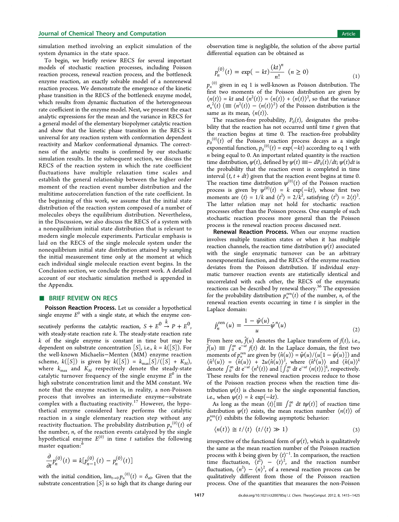<span id="page-2-0"></span>simulation method involving an explicit simulation of the system dynamics in the state space.

To begin, we briefly review RECS for several important models of stochastic reaction processes, including Poisson reaction process, renewal reaction process, and the bottleneck enzyme reaction, an exactly solvable model of a nonrenewal reaction process. We demonstrate the emergence of the kinetic phase transition in the RECS of the bottleneck enzyme model, which results from dynamic fluctuation of the heterogeneous rate coefficient in the enzyme model. Next, we present the exact analytic expressions for the mean and the variance in RECS for a general model of the elementary biopolymer catalytic reaction and show that the kinetic phase transition in the RECS is universal for any reaction system with conformation dependent reactivity and Markov conformational dynamics. The correctness of the analytic results is confirmed by our stochastic simulation results. In the subsequent section, we discuss the RECS of the reaction system in which the rate coefficient fluctuations have multiple relaxation time scales and establish the general relationship between the higher order moment of the reaction event number distribution and the multitime autocorrelation function of the rate coefficient. In the beginning of this work, we assume that the initial state distribution of the reaction system composed of a number of molecules obeys the equilibrium distribution. Nevertheless, in the Discussion, we also discuss the RECS of a system with a nonequilibrium initial state distribution that is relevant to moder[n single mo](#page-5-0)lecule experiments. Particular emphasis is laid on the RECS of the single molecule system under the nonequilibrium initial state distribution attained by sampling the initial measurement time only at the moment at which each individual single molecule reaction event begins. In the Conclusion section, we conclude the present work. A detailed account of our stochastic simulation method is appended in [the Append](#page-8-0)ix.

# ■ BRIEF REVIEW ON RECS

Poisson Reaction Process. Let us consider a hypothetical single enzyme  $E^0$  with a single state, at which the enzyme consecutively performs the catalytic reaction,  $S + E^0 \stackrel{k}{\rightarrow} P + E^0$ , with steady-state reaction rate k. The steady-state reaction rate  $k$  of the single enzyme is constant in time but may be dependent on substrate concentration [S], i.e.,  $k = k([S])$ . For the well-known Michaelis−Menten (MM) enzyme reaction scheme,  $k([S])$  is given by  $k([S]) = k_{\text{max}}[S]/([S] + K_M)$ , where  $k_{\text{max}}$  and  $K_M$  respectively denote the steady-state catalytic turnover frequency of the single enzyme  $E^0$  in the high substrate concentration limit and the MM constant. We note that the enzyme reaction is, in reality, a non-Poisson process that involves an intermediate enzyme−substrate complex with a fluctuating reactivity.<sup>17</sup> However, the hypothetical enzyme considered here performs the catalytic reaction in a single elementary rea[ctio](#page-10-0)n step without any reactivity fluctuation. The probability distribution  $p_{n}^{\,\,(0)}(t)$  of the number, n, of the reaction events catalyzed by the single hypothetical enzyme  $E^{(0)}$  in time t satisfies the following master equation:<sup>6</sup>

$$
\frac{\partial}{\partial t}p_n^{(0)}(t) = k[p_{n-1}^{(0)}(t) - p_n^{(0)}(t)]
$$

with the initial condition,  $\lim_{t\to 0} p_n^{(0)}(t) = \delta_{n0}$ . Given that the substrate concentration  $[S]$  is so high that its change during our observation time is negligible, the solution of the above partial differential equation can be obtained as

$$
p_n^{(0)}(t) = \exp(-kt) \frac{(kt)^n}{n!} \quad (n \ge 0)
$$
 (1)

 $p_n^{(0)}$  given in eq 1 is well-known as Poisson distribution. The first two moments of the Poisson distribution are given by  $\langle n(t) \rangle = kt$  and  $\langle n^2(t) \rangle = \langle n(t) \rangle + \langle n(t) \rangle^2$ , so that the variance  $\sigma_n^2(t) \ (\equiv \langle n^2(t) \rangle - \langle n(t) \rangle^2)$  of the Poisson distribution is the same as its mean,  $\langle n(t) \rangle$ .

The reaction-free probability,  $P_0(t)$ , designates the probability that the reaction has not occurred until time  $t$  given that the reaction begins at time 0. The reaction-free probability  $p_0^{(0)}(t)$  of the Poisson reaction process decays as a single exponential function,  $p_0^{(0)}(t) = \exp(-kt)$  according to eq 1 with  $n$  being equal to 0. An important related quantity is the reaction time distribution,  $\psi(t)$ , defined by  $\psi(t) \equiv - dP_0(t)/dt$ ;  $\psi(t)dt$  is the probability that the reaction event is completed in time interval  $(t, t + dt)$  given that the reaction event begins at time 0. The reaction time distribution  $\psi^{(0)}(t)$  of the Poisson reaction process is given by  $\psi^{(0)}(t) = k \exp(-kt)$ , whose first two moments are  $\langle t \rangle = 1/k$  and  $\langle t^2 \rangle = 2/k^2$ , satisfying  $\langle t^2 \rangle = 2 \langle t \rangle^2$ . The latter relation may not hold for stochastic reaction processes other than the Poisson process. One example of such stochastic reaction process more general than the Poisson process is the renewal reaction process discussed next.

Renewal Reaction Process. When our enzyme reaction involves multiple transition states or when it has multiple reaction channels, the reaction time distribution  $\psi(t)$  associated with the single enzymatic turnover can be an arbitrary nonexponential function, and the RECS of the enzyme reaction deviates from the Poisson distribution. If individual enzymatic turnover reaction events are statistically identical and uncorrelated with each other, the RECS of the enzymatic reactions can be described by renewal theory.<sup>36</sup> The expression for the probability distribution  $p_n^{\text{ren}}(t)$  of the number, n, of the renewal reaction events occurring in time  $t$  [is](#page-10-0) simpler in the Laplace domain:

$$
\hat{p}_n^{\text{ren}}(u) = \frac{1 - \hat{\psi}(u)}{u} \hat{\psi}^n(u) \tag{2}
$$

From here on,  $\hat{f}(u)$  denotes the Laplace transform of  $f(t)$ , i.e.,  $\hat{f}(u) \equiv \int_0^\infty e^{-ut} f(t) dt$ . In the Laplace domain, the first two moments of  $p_n^{\text{ren}}$  are given by  $\langle \hat{n}(u) \rangle = \hat{\psi}(u)/(u[1 - \hat{\psi}(u)])$  and  $\langle \hat{n}^2(u) \rangle = \langle \hat{n}(u) \rangle + 2u \langle \hat{n}(u) \rangle^2$ , where  $\langle \hat{n}^k(u) \rangle$  and  $\langle \hat{n}(u) \rangle^k$ denote  $\int_0^\infty dt \, e^{-ut} \, \langle n^k(t) \rangle$  and  $[\int_0^\infty dt \, e^{-ut} \, \langle n(t) \rangle]^k$ , respectively. These results for the renewal reaction process reduce to those of the Poisson reaction process when the reaction time distribution  $\psi(t)$  is chosen to be the single exponential function, i.e., when  $\psi(t) = k \exp(-kt)$ .

As long as the mean  $\langle t \rangle [\equiv \int_0^\infty dt \ t \psi(t)]$  of reaction time distribution  $\psi(t)$  exists, the mean reaction number  $\langle n(t) \rangle$  of  $p_n^{\text{ren}}(t)$  exhibits the following asymptotic behavior:

$$
\langle n(t) \rangle \cong t/\langle t \rangle \quad (t/\langle t \rangle \gg 1)
$$
 (3)

irrespective of the functional form of  $\psi(t)$ , which is qualitatively the same as the mean reaction number of the Poisson reaction process with  $k$  being given by  $\langle t \rangle^{-1}$ . In comparison, the reaction time fluctuation,  $\langle t^2 \rangle - \langle t \rangle^2$ , and the reaction number fluctuation,  $\langle n^2 \rangle - \langle n \rangle^2$ , of a renewal reaction process can be qualitatively different from those of the Poisson reaction process. One of the quantities that measures the non-Poisson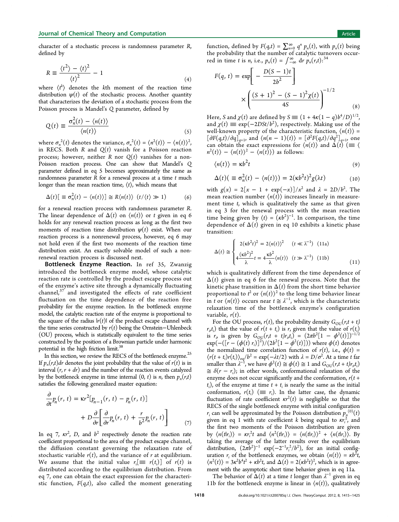<span id="page-3-0"></span>character of a stochastic process is randomness parameter R, defined by

$$
R \equiv \frac{\langle t^2 \rangle - \langle t \rangle^2}{\langle t \rangle^2} - 1 \tag{4}
$$

where  $\langle t^k \rangle$  denotes the  $k$ th moment of the reaction time distribution  $\psi(t)$  of the stochastic process. Another quantity that characterizes the deviation of a stochastic process from the Poisson process is Mandel's Q parameter, defined by

$$
Q(t) \equiv \frac{\sigma_n^2(t) - \langle n(t) \rangle}{\langle n(t) \rangle}
$$
 (5)

where  $\sigma_n^2(t)$  denotes the variance,  $\sigma_n^2(t) = \langle n^2(t) \rangle - \langle n(t) \rangle^2$ , in RECS. Both R and  $Q(t)$  vanish for a Poisson reaction process; however, neither R nor  $Q(t)$  vanishes for a non-Poisson reaction process. One can show that Mandel's Q parameter defined in eq 5 becomes approximately the same as randomness parameter  $R$  for a renewal process at a time  $t$  much longer than the mean reaction time,  $\langle t \rangle$ , which means that

$$
\Delta(t)[\equiv \sigma_n^2(t) - \langle n(t) \rangle] \cong R \langle n(t) \rangle \ (t/\langle t \rangle \gg 1) \tag{6}
$$

for a renewal reaction process with randomness parameter R. The linear dependence of  $\Delta(t)$  on  $\langle n(t) \rangle$  or t given in eq 6 holds for any renewal reaction process as long as the first two moments of reaction time distribution  $\psi(t)$  exist. When our reaction process is a nonrenewal process, however, eq 6 may not hold even if the first two moments of the reaction time distribution exist. An exactly solvable model of such a nonrenewal reaction process is discussed next.

Bottleneck Enzyme Reaction. In ref 35, Zwanzig introduced the bottleneck enzyme model, whose catalytic reaction rate is controlled by the product escap[e p](#page-10-0)rocess out of the enzyme's active site through a dynamically fluctuating channel, $37$  and investigated the effects of rate coefficient fluctuation on the time dependence of the reaction free probabili[ty](#page-10-0) for the enzyme reaction. In the bottleneck enzyme model, the catalytic reaction rate of the enzyme is proportional to the square of the radius  $|r(t)|$  of the product escape channel with the time series constructed by  $r(t)$  being the Ornstein–Uhlenbeck (OU) process, which is statistically equivalent to the time series constructed by the position of a Brownian particle under harmonic potential in the high friction limit.38

In this section, we review the RECS of the bottleneck enzyme.<sup>25</sup> If  $p_n(r,t)dr$  denotes the joint prob[abi](#page-10-0)lity that the value of  $r(t)$  is in interval  $(r, r + dr)$  and the number of the reaction events catalyz[ed](#page-10-0) by the bottleneck enzyme in time internal  $(0, t)$  is *n*, then  $p_n(r,t)$ satisfies the following generalized master equation:

$$
\frac{\partial}{\partial t}p_n(r, t) = \kappa r^2 [p_{n-1}(r, t) - p_n(r, t)]
$$

$$
+ D \frac{\partial}{\partial r} \left[ \frac{\partial}{\partial r} p_n(r, t) + \frac{r}{b^2} p_n(r, t) \right]
$$
(7)

In eq 7,  $\kappa r^2$ , D, and  $b^2$  respectively denote the reaction rate coefficient proportional to the area of the product escape channel, the diffusion constant governing the relaxation rate of stochastic variable  $r(t)$ , and the variance of r at equilibrium. We assume that the initial value  $r_i [\equiv r(t_i)]$  of  $r(t)$  is distributed according to the equilibrium distribution. From eq 7, one can obtain the exact expression for the characteristic function,  $F(q,t)$ , also called the moment generating

function, defined by  $F(q,t) = \sum_{n=0}^{\infty} q^n p_n(t)$ , with  $p_n(t)$  being the probability that the number of catalytic turnovers occurred in time t is *n*, i.e.,  $p_n(t) = \int_{-\infty}^{\infty} dr \, p_n(r,t)$ :<sup>34</sup>

$$
F(q, t) = \exp\left[-\frac{D(S-1)t}{2b^2}\right] \times \left(\frac{(S+1)^2 - (S-1)^2 \chi(t)}{4S}\right)^{-1/2}
$$
 (8)

Here, S and  $\chi(t)$  are defined by S  $\equiv (1 + 4\kappa(1 - q)b^4/D)^{1/2}$ , and  $\chi(t) \equiv \exp(-2DSt/b^2)$ , respectively. Making use of the well-known property of the characteristic function,  $\langle n(t) \rangle$  =  $\left[\partial F(q,t)/\partial q\right]_{q=1}$ , and  $\langle n(n-1)(t)\rangle = \left[\partial^2 F(q,t)/\partial q^2\right]_{q=1}$ , one can obtain the exact expressions for  $\langle n(t) \rangle$  and  $\Delta(t) \equiv \langle$  $\langle n^2(t) \rangle - \langle n(t) \rangle^2 - \langle n(t) \rangle$  as follows:

$$
\langle n(t) \rangle = \kappa b^2 t \tag{9}
$$

$$
\Delta(t)(\equiv \sigma_n^2(t) - \langle n(t) \rangle) = 2(\kappa b^2 t)^2 g(\lambda t)
$$
 (10)

with  $g(x) = 2[x - 1 + \exp(-x)]/x^2$  and  $\lambda = 2D/b^2$ . The mean reaction number  $\langle n(t) \rangle$  increases linearly in measurement time t, which is qualitatively the same as that given in eq 3 for the renewal process with the mean reaction time being given by  $\langle t \rangle = (\kappa b^2)^{-1}$ . In comparison, the time [de](#page-2-0)pendence of  $\Delta(t)$  given in eq 10 exhibits a kinetic phase transition:

$$
\Delta(t) \cong \begin{cases} 2(\kappa b^2 t)^2 = 2\langle n(t) \rangle^2 & (t \ll \lambda^{-1}) \quad (11a) \\ 4\frac{(\kappa b^2)^2}{\lambda} t = 4\frac{\kappa b^2}{\lambda} \langle n(t) \rangle & (t \gg \lambda^{-1}) \quad (11b) \end{cases} \tag{11}
$$

which is qualitatively different from the time dependence of  $\Delta(t)$  given in eq 6 for the renewal process. Note that the kinetic phase transition in  $\Delta(t)$  from the short time behavior proportional to  $t^2$  or  $\langle n(t) \rangle^2$  to the long time behavior linear in t or  $\langle n(t) \rangle$  occurs near  $t \approx \lambda^{-1}$ , which is the characteristic relaxation time of the bottleneck enzyme's configuration variable,  $r(t)$ .

For the OU process,  $r(t)$ , the probability density  $G_{\text{OU}}(r,t + t_i|t)$ |  $r_i(t_i)$  that the value of  $r(t + t_i)$  is r, given that the value of  $r(t_i)$ is  $r_i$  is given by  $G_{\text{OU}}(r, t + t_i | r_i, t_i) = (2\pi b^2 [1 - \phi^2(t)])^{-1/2}$ exp(−([ $r - (\phi(t) r_i)$ ]<sup>2</sup>)/(2 $b^2$ [1 −  $\phi^2(t)$ ])) where  $\phi(t)$  denotes the normalized time correlation function of  $r(t)$ , i.e.,  $\phi(t)$  =  $\langle r(t+t_i)r(t_i)\rangle_{\text{eq}}/b^2 = \exp(-\lambda t/2)$  with  $\lambda = D/\sigma^2$ . At a time t far smaller than  $\lambda^{-1}$ , we have  $\phi^2(t) \cong \phi(t) \cong 1$  and  $G_{\text{OU}}(r, t + t_i | r_i, t_i)$  $\cong \delta(r - r_i)$ ; in other words, conformational relaxation of the enzyme does not occur significantly and the conformation,  $r(t +$  $(t_i)$ , of the enzyme at time  $t + t_i$  is nearly the same as the initial conformation,  $r(t_i) \equiv r_i$ ). In the latter case, the dynamic fluctuation of rate coefficient  $\kappa r^2(t)$  is negligible so that the RECS of the single bottleneck enzyme with initial configuration  $r_i$  can well be approximated by the Poisson distribution  $p_n^{(0)}(t)$ given in eq 1 with rate coefficient k being equal to  $\kappa r_i^2$ , and the first two moments of the Poisson distribution are given by  $\langle n(t|r_i) \rangle = \kappa r_i^2 t$  $\langle n(t|r_i) \rangle = \kappa r_i^2 t$  $\langle n(t|r_i) \rangle = \kappa r_i^2 t$  and  $\langle n^2(t|r_i) \rangle = \langle n(t|r_i) \rangle^2 + \langle n(t|r_i) \rangle$ . By taking the average of the latter results over the equilibrium distribution,  $(2\pi b^2)^{-1}$  exp $(-2^{-1}r_i^2/b^2)$ , for an initial configuration  $r_i$  of the bottleneck enzymes, we obtain  $\langle n(t) \rangle = \kappa b^2 t$ ,  $\langle n^2(t) \rangle = 3\kappa^2 b^4 t^2 + \kappa b^2 t$ , and  $\Delta(t) = 2(\kappa b^2 t)^2$ , which is in agreement with the asymptotic short time behavior given in eq 11a.

The behavior of  $\Delta(t)$  at a time t longer than  $\lambda^{-1}$  given in eq 11b for the bottleneck enzyme is linear in  $\langle n(t) \rangle$ , qualitatively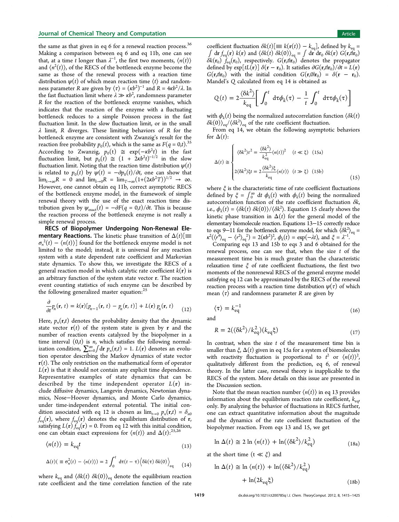<span id="page-4-0"></span>the same as that given in eq 6 for a renewal reaction process. $36$ Making a comparison between eq 6 and eq 11b, one can see that, at a time t longer than  $\lambda^{-1}$ , the first two moments,  $\langle n(t) \rangle$ and  $\langle n^2(t)\rangle$ , of [th](#page-3-0)e RECS of the bot[tle](#page-3-0)neck en[zym](#page-3-0)e become the same as those of the renewal process with a reaction time distribution  $\psi(t)$  of which mean reaction time  $\langle t \rangle$  and randomness parameter R are given by  $\langle \tau \rangle = (\kappa b^2)^{-1}$  and  $R = 4\kappa b^2/\lambda$ . In the fast fluctuation limit where  $\lambda \gg \kappa b^2$ , randomness parameter R for the reaction of the bottleneck enzyme vanishes, which indicates that the reaction of the enzyme with a fluctuating bottleneck reduces to a simple Poisson process in the fast fluctuation limit. In the slow fluctuation limit, or in the small  $\lambda$  limit, R diverges. These limiting behaviors of R for the bottleneck enzyme are consistent with Zwanzig's result for the reaction free probability  $p_0(t)$ , which is the same as  $F(q = 0,t)$ .<sup>35</sup> According to Zwanzig,  $p_0(t) \cong \exp(-\kappa b^2 t)$  in the fast fluctuation limit, but  $p_0(t) \cong (1 + 2\kappa b^2 t)^{-1/2}$  in the sl[ow](#page-10-0) fluctuation limit. Noting that the reaction time distribution  $\psi(t)$ is related to  $p_0(t)$  by  $\psi(t) = -\partial p_0(t)/\partial t$ , one can show that  $\lim_{\lambda \to \infty} R = 0$  and  $\lim_{\lambda \to 0} R = \lim_{T \to \infty} (1 + (2\kappa b^2 T))^{1/2} \to \infty$ . However, one cannot obtain eq 11b, correct asymptotic RECS of the bottleneck enzyme model, in the framework of simple renewal theory with the use o[f the](#page-3-0) exact reaction time distribution given by  $\psi_{\text{exact}}(t) = -\partial F(q = 0,t)/\partial t$ . This is because the reaction process of the bottleneck enzyme is not really a simple renewal process.

RECS of Biopolymer Undergoing Non-Renewal Ele**mentary Reactions.** The kinetic phase transition of  $\Delta(t)$ [ $\equiv$  $\sigma_n^2(t) - \langle n(t) \rangle$  found for the bottleneck enzyme model is not limited to the model; instead, it is universal for any reaction system with a state dependent rate coefficient and Markovian state dynamics. To show this, we investigate the RECS of a general reaction model in which catalytic rate coefficient  $k(\mathbf{r})$  is an arbitrary function of the system state vector r. The reaction event counting statistics of such enzyme can be described by the following generalized master equation: $25$ 

$$
\frac{\partial}{\partial t}p_n(\mathbf{r}, t) = k(\mathbf{r})[p_{n-1}(\mathbf{r}, t) - p_n(\mathbf{r}, t)] + L(\mathbf{r})p_n(\mathbf{r}, t) \tag{12}
$$

Here,  $p_n(\mathbf{r},t)$  denotes the probability density that the dynamic state vector  $r(t)$  of the system state is given by r and the number of reaction events catalyzed by the biopolymer in a time interval  $(0,t)$  is *n*, which satisfies the following normalization condition,  $\sum_{n=0}^{\infty} \int d\mathbf{r} \ p_n(\mathbf{r},t) = 1$ .  $L(\mathbf{r})$  denotes an evolution operator describing the Markov dynamics of state vector  $r(t)$ . The only restriction on the mathematical form of operator  $L(r)$  is that it should not contain any explicit time dependence. Representative examples of state dynamics that can be described by the time independent operator  $L(r)$  include diffusive dynamics, Langevin dynamics, Newtonian dynamics, Nose−Hoover dynamics, and Monte Carlo dynamics, under time-independent external potential. The initial condition associated with eq 12 is chosen as  $\lim_{t\to 0} p_n(\mathbf{r},t) = \delta_{n0}$  $f_{\text{eq}}(\mathbf{r})$ , where  $f_{\text{eq}}(\mathbf{r})$  denotes the equilibrium distribution of  $\mathbf{r}$ , satisfying  $L(\mathbf{r}) f_{eq}(\mathbf{r}) = 0$ . From eq 12 with this initial condition, one can obtain exact expressions for  $\langle n(t) \rangle$  and  $\Delta(t)$ :<sup>25,26</sup>

$$
\langle n(t) \rangle = k_{\text{eq}}t \tag{13}
$$

$$
\Delta(t)(\equiv \sigma_n^2(t) - \langle n(t) \rangle) = 2 \int_0^t d\tau(t-\tau) \langle \delta k(\tau) \delta k(0) \rangle_{\text{eq}} \qquad (14)
$$

where  $k_{eq}$  and  $\langle \delta k(t) \delta k(0) \rangle_{eq}$  denote the equilibrium reaction rate coefficient and the time correlation function of the rate (16)

coefficient fluctuation  $\delta k(t)[ \equiv k(r(t)) - k_{\text{eq}}]$ , defined by  $k_{\text{eq}} =$  $\int d\mathbf{r} f_{eq}(\mathbf{r}) k(\mathbf{r})$  and  $\langle \delta k(t) \delta k(0) \rangle_{eq} = \int d\mathbf{r} d\mathbf{r}_0 \delta k(\mathbf{r}) G(\mathbf{r}, t | \mathbf{r}_0)$  $\delta k(\mathbf{r}_0)$   $\hat{f}_{\text{eq}}(\mathbf{r}_0)$ , respectively.  $G(\mathbf{r},t|\mathbf{r}_0)$  denotes the propagator defined by  $\exp[tL(\mathbf{r})] \delta(\mathbf{r}-\mathbf{r}_0)$ . It satisfies  $\partial G(\mathbf{r},t|\mathbf{r}_0)/\partial t = L(\mathbf{r})$  $G(\mathbf{r},t|\mathbf{r}_0)$  with the initial condition  $G(\mathbf{r},0|\mathbf{r}_0) = \delta(\mathbf{r} - \mathbf{r}_0)$ . Mandel's Q calculated from eq 14 is obtained as

$$
Q(t) = 2 \frac{\langle \delta k^2 \rangle}{k_{\text{eq}}} \left[ \int_0^t d\tau \phi_k(\tau) - \frac{1}{t} \int_0^t d\tau \phi_k(\tau) \right]
$$

with  $\phi_k(t)$  being the normalized autocorrelation function  $\langle \delta k(t) \rangle$  $\delta k(0)\rangle_{\text{eq}}/\langle \delta k^2 \rangle_{\text{eq}}$  of the rate coefficient fluctuation.

From eq 14, we obtain the following asymptotic behaviors for  $\Delta(t)$ :

$$
\Delta(t) \cong \begin{cases} \langle \delta k^2 \rangle t^2 = \frac{\langle \delta k^2 \rangle}{k_{\text{eq}}^2} \langle n(t) \rangle^2 & (t \ll \xi) \quad (15 \text{a})\\ 2 \langle \delta k^2 \rangle \xi t = 2 \frac{\langle \delta k^2 \rangle \xi}{k_{\text{eq}}} \langle n(t) \rangle & (t \gg \xi) \quad (15 \text{b}) \end{cases} \tag{15}
$$

where  $\xi$  is the characteristic time of rate coefficient fluctuations defined by  $\xi = \int_0^\infty dt \phi_k(t)$  with  $\phi_k(t)$  being the normalized autocorrelation function of the rate coefficient fluctuation  $\delta k$ , i.e.,  $\phi_k(t) = \langle \delta k(t) \ \delta k(0) \rangle / \langle \delta k^2 \rangle$ . Equation 15 clearly shows the kinetic phase transition in  $\Delta(t)$  for the general model of the elementary biomolecule reaction. Equations 13−15 correctly reduce to eqs 9–11 for the bottleneck enzyme model, for which  $\langle \delta k^2 \rangle_{\text{eq}} =$  $\kappa^2(\langle r^4 \rangle_{\text{eq}} - \langle r^2 \rangle_{\text{eq}}^2) = 2(\kappa b^2)^2$ ,  $\phi_k(t) = \exp(-\lambda t)$ , and  $\xi = \lambda^{-1}$ .

Co[mparin](#page-3-0)g eqs 13 and 15b to eqs 3 and 6 obtained for the renewal process, one can see that, when the size  $t$  of the measurement time bin is much great[er](#page-2-0) tha[n](#page-3-0) the characteristic relaxation time  $\xi$  of rate coefficient fluctuations, the first two moments of the nonrenewal RECS of the general enzyme model satisfying eq 12 can be approximated by the RECS of the renewal reaction process with a reaction time distribution  $\psi(\tau)$  of which mean  $\langle \tau \rangle$  and randomness parameter R are given by

 $\langle \tau \rangle = k_{\text{eq}}^{-1}$ and

$$
4 \times 2 \times 2 \times 4
$$

 $R = 2(\langle \delta k^2 \rangle / k_{\text{eq}}^2)(k_{\text{eq}} \xi)$  $eq5$  (17)

In contrast, when the size  $t$  of the measurement time bin is smaller than  $\xi$ ,  $\Delta(t)$  given in eq 15a for a system of biomolecules with reactivity fluctuation is proportional to  $t^2$  or  $\langle n(t) \rangle^2$ , qualitatively different from the prediction, eq 6, of renewal theory. In the latter case, renewal theory is inapplicable to the RECS of the system. More details on this issue a[re](#page-3-0) presented in the Discussion section.

Note that the mean reaction number  $\langle n(t) \rangle$  in eq 13 provides inf[ormation ab](#page-5-0)out the equilibrium reaction rate coefficient,  $k_{eq}$ , only. By analyzing the behavior of fluctuations in RECS further, one can extract quantitative information about the magnitude and the dynamics of the rate coefficient fluctuation of the biopolymer reaction. From eqs 13 and 15, we get

$$
\ln \Delta(t) \cong 2 \ln \langle n(t) \rangle + \ln(\langle \delta k^2 \rangle / k_{\text{eq}}^2)
$$
\n(18a)

at the short time ( $t \ll \xi$ ) and

$$
\ln \Delta(t) \cong \ln \langle n(t) \rangle + \ln(\langle \delta k^2 \rangle / k_{\text{eq}}^2)
$$
  
+ 
$$
\ln(2k_{\text{eq}}\xi)
$$
 (18b)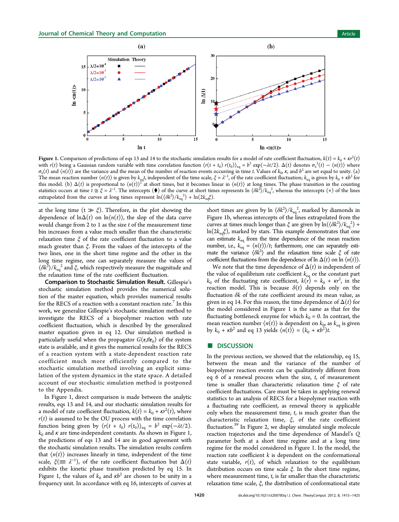<span id="page-5-0"></span>

**Figure 1.** Comparison of predictions of eqs 13 and 14 to the stochastic simulation results for a model of rate coefficient fluctuation,  $k(t) = k_0 + \kappa r^2(t)$ with  $r(t)$  being a Gaussian random variable with time correlation function  $\langle r(t+t_0) r(t_0) \rangle_{\text{eq}} = b^2 \exp(-\lambda t/2)$ .  $\Delta(t)$  denotes  $\sigma_n^2(t) - \langle n(t) \rangle$  where  $\sigma_n(t)$  and  $\langle n(t) \rangle$  are the variance and the m[ean](#page-4-0) of the number of reaction events occurring in time t. Values of  $k_0$ ,  $\kappa$ , and  $b^2$  are set equal to unity. (a) The mean reaction number  $\langle n(t)\rangle$  is given by  $k_{\text{eq}}t$ , i[nde](#page-4-0)pendent of the time scale,  $\xi=\lambda^{-1}$ , of the rate coefficient fluctuation;  $k_{\text{eq}}$  is given by  $k_0+\kappa b^2$  for this model. (b)  $\Delta(t)$  is proportional to  $\langle n(t) \rangle^2$  at short times, but it becomes linear in  $\langle n(t) \rangle$  at long times. The phase transition in the counting statistics occurs at time  $t \cong \xi = \lambda^{-1}$ . The intercepts (♦) of the curve at short times represents  $\ln \langle \delta k^2 \rangle / k_{\rm eq}^{-2}$ , whereas the intercepts (\*) of the lines extrapolated from the curves at long times represent  $\ln(\langle \delta k^2 \rangle / k_{\text{eq}}^2) + \ln(2k_{\text{eq}}\xi)$ .

at the long time  $(t \gg \xi)$ . Therefore, in the plot showing the dependence of  $\ln \Delta(t)$  on  $\ln \langle n(t) \rangle$ , the slop of the data curve would change from 2 to 1 as the size  $t$  of the measurement time bin increases from a value much smaller than the characteristic relaxation time  $\xi$  of the rate coefficient fluctuation to a value much greater than ξ. From the values of the intercepts of the two lines, one in the short time regime and the other in the long time regime, one can separately measure the values of  $\langle \delta k^2 \rangle / k_{\text{eq}}^2$  and  $\xi$ , which respectively measure the magnitude and the relaxation time of the rate coefficient fluctuation.

Comparison to Stochastic Simulation Result. Gillespie's stochastic simulation method provides the numerical solution of the master equation, which provides numerical results for the RECS of a reaction with a constant reaction rate.<sup>7</sup> In this work, we generalize Gillespie's stochastic simulation method to investigate the RECS of a biopolymer reaction w[it](#page-10-0)h rate coefficient fluctuation, which is described by the generalized master equation given in eq 12. Our simulation method is particularly useful when the propagator  $G(\mathbf{r},t|\mathbf{r}_0)$  of the system state is available, and it gives th[e nu](#page-4-0)merical results for the RECS of a reaction system with a state-dependent reaction rate coefficient much more efficiently compared to the stochastic simulation method involving an explicit simulation of the system dynamics in the state space. A detailed account of our stochastic simulation method is postponed to the Appendix.

In Figure 1, direct comparison is made between the analytic results, eqs 13 and 14, and our stochastic simulation results for a model of rate coefficient fluctuation,  $k(t) = k_0 + \kappa r^2(t)$ , where  $r(t)$  is assu[med](#page-4-0) to [be](#page-4-0) the OU process with the time correlation function being given by  $\langle r(t + t_0) r(t_0) \rangle_{\text{eq}} = b^2 \exp(-\lambda t/2)$ .  $k_0$  and  $\kappa$  are time-independent constants. As shown in Figure 1, the predictions of eqs 13 and 14 are in good agreement with the stochastic simulation results. The simulation results confirm that  $\langle n(t) \rangle$  increases li[nea](#page-4-0)rly i[n ti](#page-4-0)me, independent of the time scale,  $\xi (\equiv \lambda^{-1})$ , of the rate coefficient fluctuation but  $\Delta(t)$ exhibits the kinetic phase transition predicted by eq 15. In Figure 1, the values of  $k_0$  and  $\kappa b^2$  are chosen to be unity in a frequency unit. In accordance with eq 16, intercepts of c[urve](#page-4-0)s at

short times are given by  $\ln \langle \delta k^2 \rangle / k_{\text{eq}}^2$ , marked by diamonds in Figure 1b, whereas intercepts of the lines extrapolated from the curves at times much longer than  $\xi$  are given by  $\ln(\langle \delta k^2 \rangle / k_{\text{eq}}^2)$  +  $ln(2k_{\text{eq}}\xi)$ , marked by stars. This example demonstrates that one can estimate  $k_{eq}$  from the time dependence of the mean reaction number, i.e.,  $k_{eq} = \langle n(t) \rangle / t$ ; furthermore, one can separately estimate the variance  $\langle \delta k^2 \rangle$  and the relaxation time scale  $\xi$  of rate coefficient fluctuations from the dependence of  $\ln \Delta(t)$  on  $\ln \langle n(t) \rangle$ .

We note that the time dependence of  $\Delta(t)$  is independent of the value of equilibrium rate coefficient  $k_{eq}$  or the constant part  $k_0$  of the fluctuating rate coefficient,  $k(r) = k_0 + \kappa r^2$ , in the reaction model. This is because  $\delta(t)$  depends only on the fluctuation  $\delta k$  of the rate coefficient around its mean value, as given in eq 14. For this reason, the time dependence of  $\Delta(t)$  for the model considered in Figure 1 is the same as that for the fluctuating [bot](#page-4-0)tleneck enzyme for which  $k_0 = 0$ . In contrast, the mean reaction number  $\langle n(t) \rangle$  is dependent on  $k_0$ , as  $k_{eq}$  is given by  $k_0 + \kappa b^2$  and eq 13 yields  $\langle n(t) \rangle = (k_0 + \kappa b^2)t$ .

## ■ DISCUSSION

In the previous section, we showed that the relationship, eq 15, between the mean and the variance of the number of biopolymer reaction events can be qualitatively different fr[om](#page-4-0) eq 6 of a renewal process when the size,  $t$ , of measurement time is smaller than characteristic relaxation time  $\xi$  of rate coe[ff](#page-3-0)icient fluctuations. Care must be taken in applying renewal statistics to an analysis of RECS for a biopolymer reaction with a fluctuating rate coefficient, as renewal theory is applicable only when the measurement time,  $t$ , is much greater than the characteristic relaxation time,  $\xi$ , of the rate coefficient fluctuation.<sup>39</sup> In Figure 2, we display simulated single molecule reaction trajectories and the time dependence of Mandel's Q parameter [bo](#page-10-0)th at a s[ho](#page-6-0)rt time regime and at a long time regime for the model considered in Figure 1. In the model, the reaction rate coefficient  $k$  is dependent on the conformational state variable,  $r(t)$ , of which relaxation to the equilibrium distribution occurs on time scale  $\xi$ . In the short time regime, where measurement time,  $t$ , is far smaller than the characteristic relaxation time scale,  $\xi$ , the distribution of conformational state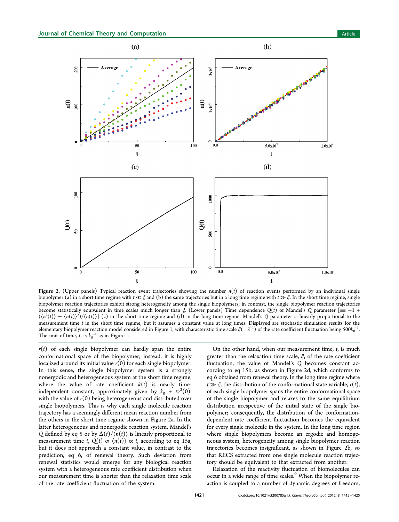<span id="page-6-0"></span>

Figure 2. (Upper panels) Typical reaction event trajectories showing the number  $n(t)$  of reaction events performed by an individual single biopolymer (a) in a short time regime with  $t \ll \xi$  and (b) the same trajectories but in a long time regime with  $t \gg \xi$ . In the short time regime, single biopolymer reaction trajectories exhibit strong heterogeneity among the single biopolymers; in contrast, the single biopolymer reaction trajectories become statistically equivalent in time scales much longer than ξ. (Lower panels) Time dependence  $Q(t)$  of Mandel's Q parameter [ $\equiv -1$  +  $(\langle n^2(t) \rangle - \langle n(t) \rangle^2)/\langle n(t) \rangle]$  (c) in the short time regime and (d) in the long time regime. Mandel's Q parameter is linearly proportional to the measurement time t in the short time regime, but it assumes a constant value at long times. Displayed are stochastic simulation results for the elementary biopolymer reaction model considered in Figure 1, with characteristic time scale  $\xi (= \lambda^{-1})$  of the rate coefficient fluctuation being 500 $k_0^{-1}$ . The unit of time, t, is  $k_0^{-1}$  as in Figure 1.

 $r(t)$  of each single biopolymer can hardly span t[he](#page-5-0) entire conformational space of the biopo[ly](#page-5-0)mer; instead, it is highly localized around its initial value  $r(0)$  for each single biopolymer. In this sense, the single biopolymer system is a strongly nonergodic and heterogeneous system at the short time regime, where the value of rate coefficient  $k(t)$  is nearly timeindependent constant, approximately given by  $k_0 + \kappa r^2(0)$ , with the value of  $r(0)$  being heterogeneous and distributed over single biopolymers. This is why each single molecule reaction trajectory has a seemingly different mean reaction number from the others in the short time regime shown in Figure 2a. In the latter heterogeneous and nonergodic reaction system, Mandel's Q defined by eq 5 or by  $\Delta(t)/\langle n(t) \rangle$  is linearly proportional to measurement time t,  $Q(t) \propto \langle n(t) \rangle \propto t$ , according to eq 15a, but it does not [ap](#page-3-0)proach a constant value, in contrast to the prediction, eq 6, of renewal theory. Such deviation f[rom](#page-4-0) renewal statistics would emerge for any biological reaction system with a h[et](#page-3-0)erogeneous rate coefficient distribution when our measurement time is shorter than the relaxation time scale of the rate coefficient fluctuation of the system.

On the other hand, when our measurement time,  $t$ , is much greater than the relaxation time scale,  $\xi$ , of the rate coefficient fluctuation, the value of Mandel's Q becomes constant according to eq 15b, as shown in Figure 2d, which conforms to eq 6 obtained from renewal theory. In the long time regime where  $t \gg \xi$ , the dist[ribut](#page-4-0)ion of the conformational state variable,  $r(t)$ , of [ea](#page-3-0)ch single biopolymer spans the entire conformational space of the single biopolymer and relaxes to the same equilibrium distribution irrespective of the initial state of the single biopolymer; consequently, the distribution of the conformationdependent rate coefficient fluctuation becomes the equivalent for every single molecule in the system. In the long time region where single biopolymers become an ergodic and homogeneous system, heterogeneity among single biopolymer reaction trajectories becomes insignificant, as shown in Figure 2b, so that RECS extracted from one single molecule reaction trajectory should be equivalent to that extracted from another.

Relaxation of the reactivity fluctuation of biomolecules can occur in a wide range of time scales.<sup>9</sup> When the biopolymer reaction is coupled to a number of dynamic degrees of freedom,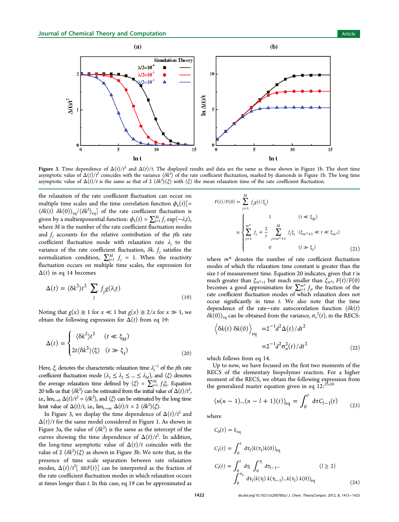<span id="page-7-0"></span>

Figure 3. Time dependence of  $\Delta(t)/t^2$  and  $\Delta(t)/t$ . The displayed results and data are the same as those shown in Figure 1b. The short time asymptotic value of  $\Delta(t)/t^2$  coincides with the variance  $\langle\delta k^2\rangle$  of the rate coefficient fluctuation, marked by diamonds in Figure 1b. The long time asymptotic value of  $\Delta(t)/t$  is the same as that of 2  $\langle \delta k^2 \rangle \langle \xi \rangle$  with  $\langle \xi \rangle$  the mean relaxat[io](#page-5-0)n time of the rate coefficient fluctuation.

the relaxation of the rate coefficient fluctuation can occur on multiple time scales and the time correlation function  $\phi_k(t)$ [=  $\langle \delta k(t) \delta k(0) \rangle_{\text{eq}} / \langle \delta k^2 \rangle_{\text{eq}}$ ] of the rate coefficient fluctuation is given by a multiexponential function:  $\phi_k(t) = \sum_{j=1}^M f_j \exp(-\lambda_j t)$ , where  $M$  is the number of the rate coefficient fluctuation modes and  $f_i$  accounts for the relative contribution of the jth rate coefficient fluctuation mode with relaxation rate  $\lambda_i$  to the variance of the rate coefficient fluctuation,  $\delta k$ .  $f_j$  satisfies the normalization condition,  $\sum_{j=1}^{M} f_j = 1$ . When the reactivity fluctuation occurs on multiple time scales, the expression for  $\Delta(t)$  in eq 14 becomes

$$
\Delta(t) = \langle \delta k^2 \rangle t^2 \sum_j f_j g(\lambda_i t)
$$
\n(19)

Noting that  $g(x) \approx 1$  for  $x \ll 1$  but  $g(x) \approx 2/x$  for  $x \gg 1$ , we obtain the following expression for  $\Delta(t)$  from eq 19:

$$
\Delta(t) = \begin{cases} \langle \delta k^2 \rangle t^2 & (t \ll \xi_M) \\ 2t \langle \delta k^2 \rangle \langle \xi \rangle & (t \gg \xi_1) \end{cases} \tag{20}
$$

Here,  $\xi_j$  denotes the characteristic relaxation time  $\lambda_j^{-1}$  of the jth rate coefficient fluctuation mode ( $\lambda_1 \leq \lambda_2 \leq ... \leq \lambda_M$ ), and  $\langle \xi \rangle$  denotes the average relaxation time defined by  $\langle \xi \rangle = \sum_{j=1}^{M} f_{j\xi j}^{\xi}$ . Equation 20 tells us that  $\langle \delta k^2 \rangle$  can be estimated from the initial value of  $\Delta(t)/t^2$ , i.e.,  $\lim_{t\to 0} \Delta(t)/t^2 = \langle \delta k^2 \rangle$ , and  $\langle \xi \rangle$  can be estimated by the long time limit value of  $\Delta(t)/t$ , i.e.,  $\lim_{t\to\infty} \Delta(t)/t = 2 \langle \delta k^2 \rangle \langle \xi \rangle$ .

In Figure 3, we display the time dependence of  $\Delta(t)/t^2$  and  $\Delta(t)/t$  for the same model considered in Figure 1. As shown in Figure 3a, the value of  $\langle \delta k^2 \rangle$  is the same as the intercept of the curves showing the time dependence of  $\Delta(t)/t^2$  $\Delta(t)/t^2$ . In addition, the long-time asymptotic value of  $\Delta(t)/t$  coincides with the value of 2  $\langle \delta k^2 \rangle \langle \xi \rangle$  as shown in Figure 3b. We note that, in the presence of time scale separation between rate relaxation modes,  $\Delta(t)/t^2$ [ $\equiv$ F(t)] can be interpreted as the fraction of the rate coefficient fluctuation modes in which relaxation occurs at times longer than t. In this case, eq 19 can be approximated as

$$
F(t)/F(0) = \sum_{j=1}^{M} f_j g(t/\xi_j)
$$
  
\n
$$
\approx \begin{cases} 1 & (t \ll \xi_M) \\ \sum_{j=1}^{m^*} f_j + \frac{2}{t} \sum_{j=m^*+1}^{M} f_j \xi_j & (\xi_{m^*+1} \ll t \ll \xi_{m^*}) \\ 0 & (t \gg \xi_1) \end{cases}
$$
(21)

where  $m^*$  denotes the number of rate coefficient fluctuation modes of which the relaxation time constant is greater than the size  $t$  of measurement time. Equation 20 indicates, given that  $t$  is much greater than  $\xi_{m^*+1}$  but much smaller than  $\xi_{m^*}$ ,  $F(t)/F(0)$ becomes a good approximation for  $\sum_{j=1}^{m^*} f_j$ , the fraction of the rate coefficient fluctuation modes of which relaxation does not occur significantly in time t. We also note that the time dependence of the rate−rate autocorrelation function  $\langle \delta k(t) \rangle$  $\delta k(0)\rangle_{\text{eq}}$  can be obtained from the variance,  $\sigma_n^{\,2}(t)$ , in the RECS:

$$
\delta k(t) \delta k(0) \Big|_{\text{eq}} = 2^{-1} d^2 \Delta(t) / dt^2
$$
  
=  $2^{-1} d^2 \sigma_n^2(t) / dt^2$  (22)

which follows from eq 14.

Up to now, we have focused on the first two moments of the RECS of the element[ary](#page-4-0) biopolymer reaction. For a higher moment of the RECS, we obtain the following expression from the generalized master equation given in eq  $12:^{25,26}$ 

$$
\langle n(n-1)...(n-l+1)(t) \rangle_{\text{eq}} = \int_0^t \, \mathrm{d}\tau C_{l-1}(t) \tag{23}
$$

where

$$
C_0(t) = k_{eq}
$$
  
\n
$$
C_1(t) = \int_0^t d\tau_1 \langle k(\tau_1)k(0)\rangle_{eq}
$$
  
\n
$$
C_l(t) = \int_0^t d\tau_l \int_0^{\tau_1} d\tau_{l-1} ... \qquad (l \ge 2)
$$
  
\n
$$
\int_0^{\tau_2} d\tau_1 \langle k(\tau_l) k(\tau_{l-1}) ... k(\tau_1) k(0)\rangle_{eq}
$$
\n(24)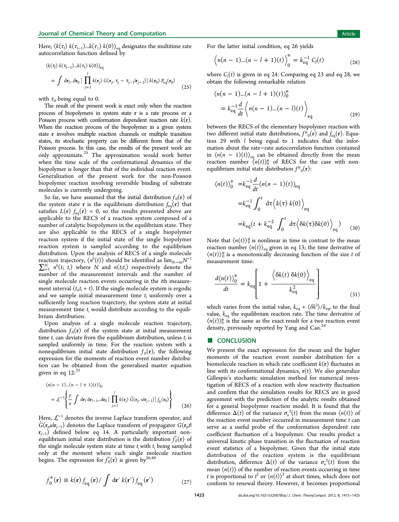<span id="page-8-0"></span>Here,  $\langle k(\tau_l) \; k(\tau_{l-1}) ... k(\tau_1) \; k(0) \rangle_{\text{eq}}$  designates the multitime rate autocorrelation function defined by

$$
\langle k(\tau_j) k(\tau_{l-1}) \dots k(\tau_1) k(0) \rangle_{\text{eq}}
$$
  
= 
$$
\int \mathrm{d}\mathbf{r}_l \dots \mathrm{d}\mathbf{r}_0 \left[ \prod_{j=1}^l k(\mathbf{r}_j) G(\mathbf{r}_j, \tau_j - \tau_{j-1} | \mathbf{r}_{j-1}) \right] k(\mathbf{r}_0) P_{\text{eq}}(\mathbf{r}_0)
$$
 (25)

with  $\tau_0$  being equal to 0.

The result of the present work is exact only when the reaction process of biopolymers in system state r is a rate process or a Poisson process with conformation dependent reaction rate  $k(\mathbf{r})$ . When the reaction process of the biopolymer in a given system state r involves multiple reaction channels or multiple transition states, its stochastic property can be different from that of the Poisson process. In this case, the results of the present work are only approximate.<sup>25</sup> The approximation would work better when the time scale of the conformational dynamics of the biopolymer is lon[ger](#page-10-0) than that of the individual reaction event. Generalization of the present work for the non-Poisson biopolymer reaction involving reversible binding of substrate molecules is currently undergoing.

So far, we have assumed that the initial distribution  $f_0(\mathbf{r})$  of the system state **r** is the equilibrium distribution  $f_{eq}(\mathbf{r})$  that satisfies  $L(r) f_{eq}(r) = 0$ , so the results presented above are applicable to the RECS of a reaction system composed of a number of catalytic biopolymers in the equilibrium state. They are also applicable to the RECS of a single biopolymer reaction system if the initial state of the single biopolymer reaction system is sampled according to the equilibrium distribution. Upon the analysis of RECS of a single molecule reaction trajectory,  $\langle n^{k}(t) \rangle$  should be identified as  $\lim_{N\to\infty}$   $N^{-1}$  $\sum_{i=1}^{N} n^{k}(t; t_{i})$  where N and  $n(t; t_{i})$  respectively denote the number of the measurement intervals and the number of single molecule reaction events occurring in the ith measurement interval  $(t_{\nu}t_{i} + t)$ . If the single molecule system is ergodic and we sample initial measurement time  $t_i$  uniformly over a sufficiently long reaction trajectory, the system state at initial measurement time  $t_i$  would distribute according to the equilibrium distribution.

Upon analysis of a single molecule reaction trajectory, distribution  $f_0(\mathbf{r})$  of the system state at initial measurement time  $t_i$  can deviate from the equilibrium distribution, unless  $t_i$  is sampled uniformly in time. For the reaction system with a nonequilibrium initial state distribution  $f_0(\mathbf{r})$ , the following expression for the moments of reaction event number distribution can be obtained from the generalized master equation given in eq  $12:^{25}$ 

$$
\langle n(n-1)...(n-l+1)(t)\rangle_0
$$
  
=  $\mathcal{L}^{-1}\left\{\frac{l!}{u}\int d\mathbf{r}_l d\mathbf{r}_{l-1}...d\mathbf{r}_0 \left[\prod_{j=1}^l k(\mathbf{r}_j) \hat{G}(\mathbf{r}_j, ul\mathbf{r}_{j-1})\right] f_0(\mathbf{r}_0)\right\}$  (26)

Here,  $\mathcal{L}^{-1}$  denotes the inverse Laplace transform operator, and  $\hat{G}(\mathbf{r}_j u \vert \mathbf{r}_{j-1})$  denotes the Laplace transform of propagator  $G(\mathbf{r}_j,t)$  $\mathbf{r}_{i-1}$ ) defined below eq 14. A particularly important nonequilibrium initial state distribution is the distribution  $f_0^*(\mathbf{r})$  of the single molecule syste[m st](#page-4-0)ate at time  $t_i$  with  $t_i$  being sampled only at the moment where each single molecule reaction begins. The expression for  $f_0^*(\mathbf{r})$  is given by  $26,40$ 

$$
f_0^*(\mathbf{r}) \equiv k(\mathbf{r}) f_{\text{eq}}(\mathbf{r}) / \int \, \mathrm{d}\mathbf{r}' \, k(\mathbf{r}') f_{\text{eq}}(\mathbf{r}') \tag{27}
$$

For the latter initial condition, eq 26 yields

$$
\left\langle n(n-1)...(n-l+1)(t) \right\rangle_0^* = k_{\text{eq}}^{-1} C_l(t) \tag{28}
$$

where  $C_l(t)$  is given in eq 24. Comparing eq 23 and eq 28, we obtain the following remarkable relation

$$
\langle n(n-1)...(n-l+1)(t) \rangle_0^*
$$
  
=  $k_{\text{eq}} \frac{1}{dt} \langle n(n-1)...(n-l)(t) \rangle_{\text{eq}}$  (29)

between the RECS of the elementary biopolymer reaction with two different initial state distributions,  $f^*_{0}(r)$  and  $f_{eq}(r)$ . Equation 29 with l being equal to 1 indicates that the information about the rate−rate autocorrelation function contained in  $\langle n(n-1)(t) \rangle_{\text{eq}}$  can be obtained directly from the mean reaction number  $\langle n(t) \rangle_0^*$  of RECS for the case with nonequilibrium initial state distribution  $f^*_{0}(\mathbf{r})$ :

$$
\langle n(t) \rangle_0^* = k_{\text{eq}} \frac{d}{dt} \langle n(n-1)(t) \rangle_{\text{eq}}
$$
  

$$
= k_{\text{eq}}^{-1} \int_0^t \mathrm{d}\tau \langle k(\tau) k(0) \rangle_{\text{eq}}
$$
  

$$
= k_{\text{eq}} (t + k_{\text{eq}}^{-2} \int_0^t \mathrm{d}\tau \langle \delta k(\tau) \delta k(0) \rangle_{\text{eq}}
$$
(30)

Note that  $\langle n(t) \rangle_0^*$  is nonlinear in time in contrast to the mean reaction number  $\langle n(t) \rangle_{\text{eq}}$  given in eq 13; the time derivative of  $\langle n(t) \rangle$ <sup>\*</sup> is a monotonically decreasing function of the size t of measurement time:

$$
\frac{d\langle n(t)\rangle_0^*}{dt} = k_{\text{eq}} \left[ 1 + \frac{\langle \delta k(t) \delta k(0) \rangle_{\text{eq}}}{k_{\text{eq}}^2} \right]
$$
(31)

which varies from the initial value,  $k_{eq} + \langle \delta k^2 \rangle / k_{eq}$ , to the final value,  $k_{eq}$  the equilibrium reaction rate. The time derivative of  $\langle n(t) \rangle_0^*$  is the same as the exact result for a two reaction event density, previously reported by Yang and Cao.<sup>24</sup>

#### ■ CONCLUSION

We present the exact expression for the mean and the higher moments of the reaction event number distribution for a biomolecule reaction in which rate coefficient  $k(r)$  fluctuates in line with its conformational dynamics,  $r(t)$ . We also generalize Gillespie's stochastic simulation method for numerical investigation of RECS of a reaction with slow reactivity fluctuation and confirm that the simulation results for RECS are in good agreement with the prediction of the analytic results obtained for a general biopolymer reaction model. It is found that the difference  $\Delta(t)$  of the variance  $\sigma_n^2(t)$  from the mean  $\langle n(t) \rangle$  of the reaction event number occurred in measurement time  $t$  can serve as a useful probe of the conformation dependent rate coefficient fluctuation of a biopolymer. Our results predict a universal kinetic phase transition in the fluctuation of reaction event statistics of a biopolymer. Given that the initial state distribution of the reaction system is the equilibrium distribution, difference  $\Delta(t)$  of the variance  $\sigma_n^2(t)$  from the mean  $\langle n(t) \rangle$  of the number of reaction events occurring in time t is proportional to  $t^2$  or  $\langle n(t) \rangle^2$  at short times, which does not conform to renewal theory. However, it becomes proportional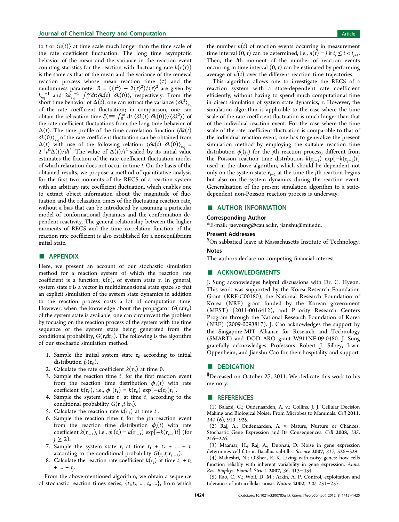<span id="page-9-0"></span>to t or  $\langle n(t) \rangle$  at time scale much longer than the time scale of the rate coefficient fluctuation. The long time asymptotic behavior of the mean and the variance in the reaction event counting statistics for the reaction with fluctuating rate  $k(r(t))$ is the same as that of the mean and the variance of the renewal reaction process whose mean reaction time  $\langle \tau \rangle$  and the randomness parameter  $R = (\langle \tau^2 \rangle - 2 \langle \tau \rangle^2) / \langle \tau \rangle^2$  are given by  $k_{\rm eq}$  and  $2 \tilde{k_{\rm eq}}^{-1}$   $\int_0^\infty \! dt \langle \delta k(t) \rangle \delta k(0) \rangle$ , respectively. From the short time behavior of  $\Delta(t)$ , one can extract the variance  $\langle\delta k^2\rangle_{\rm eq}$ of the rate coefficient fluctuation; in comparison, one can obtain the relaxation time  $\xi (\equiv \int_0^\infty dt \, \langle \delta k(t) \, \delta k(0) \rangle / \langle \delta k^2 \rangle)$  of the rate coefficient fluctuations from the long time behavior of  $\Delta(t)$ . The time profile of the time correlation function  $\langle \delta k(t) \rangle$  $\delta k(0)\rangle_{\text{eq}}$  of the rate coefficient fluctuation can be obtained from  $\Delta(t)$  with use of the following relation:  $\langle \delta k(t) \delta k(0) \rangle_{\text{eq}} =$  $2^{-1}d^2\Delta(t)/dt^2$ . The value of  $\Delta(t)/t^2$  scaled by its initial value estimates the fraction of the rate coefficient fluctuation modes of which relaxation does not occur in time t. On the basis of the obtained results, we propose a method of quantitative analysis for the first two moments of the RECS of a reaction system with an arbitrary rate coefficient fluctuation, which enables one to extract object information about the magnitude of fluctuation and the relaxation times of the fluctuating reaction rate, without a bias that can be introduced by assuming a particular model of conformational dynamics and the conformation dependent reactivity. The general relationship between the higher moments of RECS and the time correlation function of the reaction rate coefficient is also established for a nonequilibrium initial state.

## **APPENDIX**

Here, we present an account of our stochastic simulation method for a reaction system of which the reaction rate coefficient is a function,  $k(r)$ , of system state r. In general, system state r is a vector in multidimensional state space so that an explicit simulation of the system state dynamics in addition to the reaction process costs a lot of computation time. However, when the knowledge about the propagator  $G(\mathbf{r},t|\mathbf{r}_0)$ of the system state is available, one can circumvent the problem by focusing on the reaction process of the system with the time sequence of the system state being generated from the conditional probability,  $G(\mathbf{r},t|\mathbf{r}_0)$ . The following is the algorithm of our stochastic simulation method.

- 1. Sample the initial system state  $r_0$  according to initial distribution  $f_0(\mathbf{r}_0)$ .
- 2. Calculate the rate coefficient  $k(\mathbf{r}_0)$  at time 0.
- 3. Sample the reaction time  $t_1$  for the first reaction event from the reaction time distribution  $\phi_1(t)$  with rate coefficient  $k(r_0)$ , i.e.,  $\phi_1(t_1) = k(r_0) \exp[-k(r_0)t_1]$ .
- 4. Sample the system state  $r_1$  at time  $t_1$  according to the conditional probability  $G(\mathbf{r}_1,t_1|\mathbf{r}_0)$ .
- 5. Calculate the reaction rate  $k(\mathbf{r}_1)$  at time  $t_1$ .
- 6. Sample the reaction time  $t_i$  for the jth reaction event from the reaction time distribution  $\phi_j(t)$  with rate coefficient  $k(\mathbf{r}_{j-1})$ , i.e.,  $\phi_j(t_j) = k(\mathbf{r}_{j-1}) \exp[-k(\mathbf{r}_{j-1})t]$  (for  $j \geq 2$ ).
- 7. Sample the system state  $r_i$  at time  $t_1 + t_2 + ... + t_i$ according to the conditional probability  $G(\mathbf{r}_j,t_j|\mathbf{r}_{j-1}).$
- 8. Calculate the reaction rate coefficient  $k(\mathbf{r}_j)$  at time  $t_1 + t_2$  $+ ... + t_i$ . .

From the above-mentioned algorithm, we obtain a sequence of stochastic reaction times series,  $\{t_1, t_2, ..., t_j, ...\}$ , from which

the number  $n(t)$  of reaction events occurring in measurement time interval  $(0, t)$  can be determined, i.e.,  $n(t) = j$  if  $t_i \le t < t_{i+1}$ . Then, the lth moment of the number of reaction events occurring in time interval  $(0, t)$  can be estimated by performing average of  $n^{l}(t)$  over the different reaction time trajectories.

This algorithm allows one to investigate the RECS of a reaction system with a state-dependent rate coefficient efficiently, without having to spend much computational time in direct simulation of system state dynamics, r. However, the simulation algorithm is applicable to the case where the time scale of the rate coefficient fluctuation is much longer than that of the individual reaction event. For the case where the time scale of the rate coefficient fluctuation is comparable to that of the individual reaction event, one has to generalize the present simulation method by employing the suitable reaction time distribution  $\phi_j(t_j)$  for the *j*th reaction process, different from the Poisson reaction time distribution  $k(\mathbf{r}_{j-1})$  exp $[-k(\mathbf{r}_{j-1})t]$ used in the above algorithm, which should be dependent not only on the system state  $\mathbf{r}_{i-1}$  at the time the jth reaction begins but also on the system dynamics during the reaction event. Generalization of the present simulation algorithm to a statedependent non-Poisson reaction process is underway.

#### ■ AUTHOR INFORMATION

#### Corresponding Author

\*E-mail: jaeyoung@cau.ac.kr, jianshu@mit.edu.

### Present Addresses

§ On sab[batical leave at Mass](mailto:jaeyoung@cau.ac.kr)a[chusetts Institute](mailto:jianshu@mit.edu) of Technology.

## **Notes**

The authors declare no competing financial interest.

## ■ ACKNOWLEDGMENTS

J. Sung acknowledges helpful discussions with Dr. C. Hyeon. This work was supported by the Korea Research Foundation Grant (KRF-C00180), the National Research Foundation of Korea (NRF) grant funded by the Korean government (MEST) (2011-0016412), and Priority Research Centers Program through the National Research Foundation of Korea (NRF) (2009-0093817). J. Cao acknowledges the support by the Singapore-MIT Alliance for Research and Technology (SMART) and DOD ARO grant W911NF-09-0480. J. Sung gratefully acknowledges Professors Robert J. Silbey, Irwin Oppenheim, and Jianshu Cao for their hospitality and support.

## ■ DEDICATION

∥ Deceased on October 27, 2011. We dedicate this work to his memory.

#### ■ REFERENCES

(1) Balazsi, G.; Oudenaarden, A. v.; Collins, J. J. Cellular Decision Making and Biological Noise: From Microbes to Mammals. Cell 2011, 144 (6), 910−925.

(2) Raj, A.; Oudenaarden, A. v. Nature, Nurture or Chances: Stochastic Gene Expression and Its Consequences. Cell 2008, 135, 216−226.

(3) Maamar, H.; Raj, A.; Dubnau, D. Noise in gene expression determines cell fate in Bacillus subtillis. Science 2007, 317, 526−529.

(4) Maheshri, N.; O'Shea, E. K. Living with noisy genes: how cells function reliably with inherent variability in gene expression. Annu. Rev. Biophys. Biomol. Struct. 2007, 36, 413−434.

(5) Rao, C. V.; Wolf, D. M.; Arkin, A. P. Control, exploitation and tolerance of intracellular noise. Nature 2002, 420, 231−237.